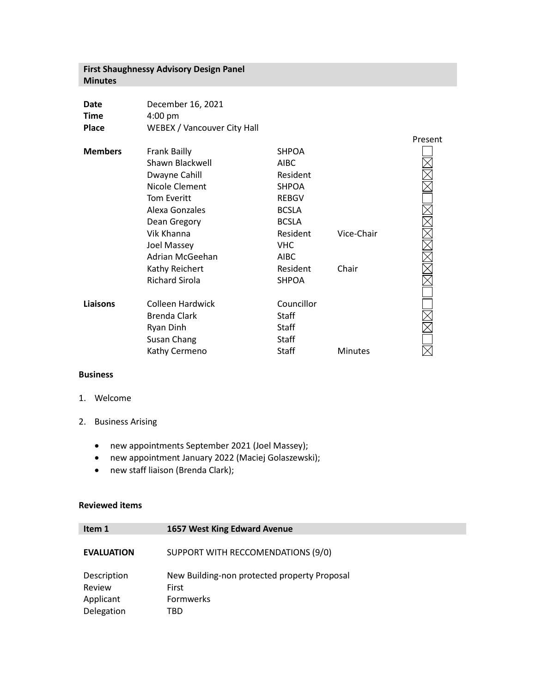## **First Shaughnessy Advisory Design Panel Minutes**

| <b>Date</b>    | December 16, 2021           |              |  |
|----------------|-----------------------------|--------------|--|
| <b>Time</b>    | $4:00 \text{ pm}$           |              |  |
| <b>Place</b>   | WEBEX / Vancouver City Hall |              |  |
| <b>Members</b> | <b>Frank Bailly</b>         | <b>SHPOA</b> |  |
|                | Shawn Blackwell             | <b>AIRC</b>  |  |

|          | Shawn Blackwell       | <b>AIBC</b>  |                |  |
|----------|-----------------------|--------------|----------------|--|
|          | Dwayne Cahill         | Resident     |                |  |
|          | Nicole Clement        | <b>SHPOA</b> |                |  |
|          | <b>Tom Everitt</b>    | <b>REBGV</b> |                |  |
|          | Alexa Gonzales        | <b>BCSLA</b> |                |  |
|          | Dean Gregory          | <b>BCSLA</b> |                |  |
|          | Vik Khanna            | Resident     | Vice-Chair     |  |
|          | Joel Massey           | <b>VHC</b>   |                |  |
|          | Adrian McGeehan       | <b>AIBC</b>  |                |  |
|          | Kathy Reichert        | Resident     | Chair          |  |
|          | <b>Richard Sirola</b> | <b>SHPOA</b> |                |  |
|          |                       |              |                |  |
| Liaisons | Colleen Hardwick      | Councillor   |                |  |
|          | Brenda Clark          | Staff        |                |  |
|          | Ryan Dinh             | <b>Staff</b> |                |  |
|          | Susan Chang           | <b>Staff</b> |                |  |
|          | Kathy Cermeno         | Staff        | <b>Minutes</b> |  |
|          |                       |              |                |  |

Present

## **Business**

- 1. Welcome
- 2. Business Arising
	- new appointments September 2021 (Joel Massey);
	- new appointment January 2022 (Maciej Golaszewski);
	- new staff liaison (Brenda Clark);

## **Reviewed items**

| Item 1            | 1657 West King Edward Avenue                 |
|-------------------|----------------------------------------------|
| <b>EVALUATION</b> | SUPPORT WITH RECCOMENDATIONS (9/0)           |
| Description       | New Building-non protected property Proposal |
| Review            | First                                        |
| Applicant         | <b>Formwerks</b>                             |
| Delegation        | TBD                                          |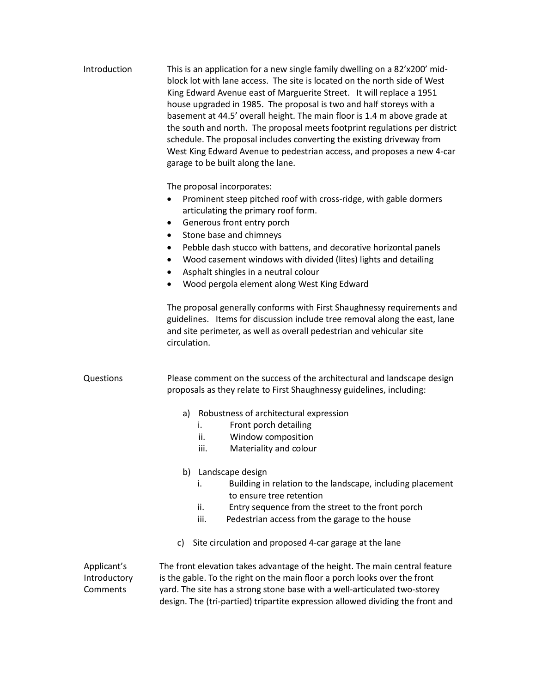| Introduction                            | This is an application for a new single family dwelling on a 82'x200' mid-<br>block lot with lane access. The site is located on the north side of West<br>King Edward Avenue east of Marguerite Street. It will replace a 1951<br>house upgraded in 1985. The proposal is two and half storeys with a<br>basement at 44.5' overall height. The main floor is 1.4 m above grade at<br>the south and north. The proposal meets footprint regulations per district<br>schedule. The proposal includes converting the existing driveway from<br>West King Edward Avenue to pedestrian access, and proposes a new 4-car<br>garage to be built along the lane.                                                   |
|-----------------------------------------|-------------------------------------------------------------------------------------------------------------------------------------------------------------------------------------------------------------------------------------------------------------------------------------------------------------------------------------------------------------------------------------------------------------------------------------------------------------------------------------------------------------------------------------------------------------------------------------------------------------------------------------------------------------------------------------------------------------|
|                                         | The proposal incorporates:<br>Prominent steep pitched roof with cross-ridge, with gable dormers<br>$\bullet$<br>articulating the primary roof form.<br>Generous front entry porch<br>٠<br>Stone base and chimneys<br>٠<br>Pebble dash stucco with battens, and decorative horizontal panels<br>٠<br>Wood casement windows with divided (lites) lights and detailing<br>Asphalt shingles in a neutral colour<br>Wood pergola element along West King Edward<br>The proposal generally conforms with First Shaughnessy requirements and<br>guidelines. Items for discussion include tree removal along the east, lane<br>and site perimeter, as well as overall pedestrian and vehicular site<br>circulation. |
| Questions                               | Please comment on the success of the architectural and landscape design<br>proposals as they relate to First Shaughnessy guidelines, including:                                                                                                                                                                                                                                                                                                                                                                                                                                                                                                                                                             |
|                                         | Robustness of architectural expression<br>a)<br>Front porch detailing<br>i.<br>Window composition<br>ii.<br>Materiality and colour<br>iii.<br>b) Landscape design<br>Building in relation to the landscape, including placement<br>i.<br>to ensure tree retention<br>Entry sequence from the street to the front porch<br>ii.<br>iii.<br>Pedestrian access from the garage to the house<br>Site circulation and proposed 4-car garage at the lane<br>C)                                                                                                                                                                                                                                                     |
| Applicant's<br>Introductory<br>Comments | The front elevation takes advantage of the height. The main central feature<br>is the gable. To the right on the main floor a porch looks over the front<br>yard. The site has a strong stone base with a well-articulated two-storey<br>design. The (tri-partied) tripartite expression allowed dividing the front and                                                                                                                                                                                                                                                                                                                                                                                     |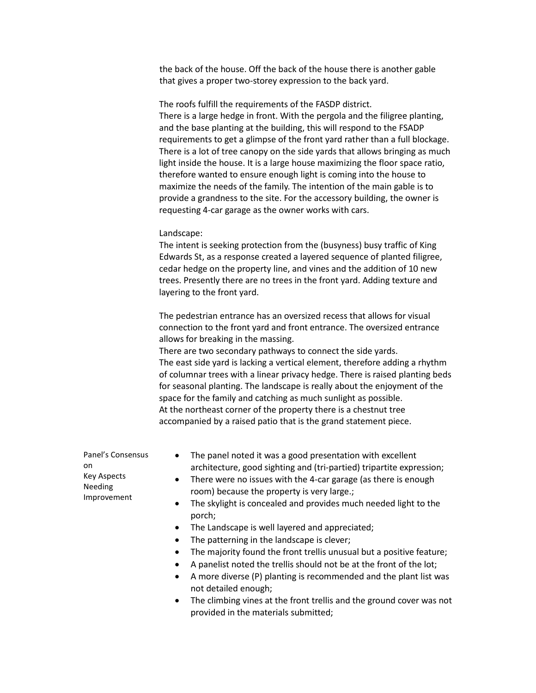the back of the house. Off the back of the house there is another gable that gives a proper two-storey expression to the back yard.

The roofs fulfill the requirements of the FASDP district. There is a large hedge in front. With the pergola and the filigree planting, and the base planting at the building, this will respond to the FSADP requirements to get a glimpse of the front yard rather than a full blockage. There is a lot of tree canopy on the side yards that allows bringing as much light inside the house. It is a large house maximizing the floor space ratio, therefore wanted to ensure enough light is coming into the house to maximize the needs of the family. The intention of the main gable is to provide a grandness to the site. For the accessory building, the owner is requesting 4-car garage as the owner works with cars.

## Landscape:

The intent is seeking protection from the (busyness) busy traffic of King Edwards St, as a response created a layered sequence of planted filigree, cedar hedge on the property line, and vines and the addition of 10 new trees. Presently there are no trees in the front yard. Adding texture and layering to the front yard.

The pedestrian entrance has an oversized recess that allows for visual connection to the front yard and front entrance. The oversized entrance allows for breaking in the massing.

There are two secondary pathways to connect the side yards. The east side yard is lacking a vertical element, therefore adding a rhythm of columnar trees with a linear privacy hedge. There is raised planting beds for seasonal planting. The landscape is really about the enjoyment of the space for the family and catching as much sunlight as possible. At the northeast corner of the property there is a chestnut tree accompanied by a raised patio that is the grand statement piece.

| Panel's Consensus<br>on.<br>Key Aspects<br>Needing<br>Improvement | The panel noted it was a good presentation with excellent<br>$\bullet$<br>architecture, good sighting and (tri-partied) tripartite expression;<br>There were no issues with the 4-car garage (as there is enough<br>$\bullet$<br>room) because the property is very large.;<br>The skylight is concealed and provides much needed light to the<br>$\bullet$<br>porch;<br>The Landscape is well layered and appreciated;<br>$\bullet$<br>The patterning in the landscape is clever;<br>$\bullet$<br>The majority found the front trellis unusual but a positive feature;<br>٠ |
|-------------------------------------------------------------------|------------------------------------------------------------------------------------------------------------------------------------------------------------------------------------------------------------------------------------------------------------------------------------------------------------------------------------------------------------------------------------------------------------------------------------------------------------------------------------------------------------------------------------------------------------------------------|
|                                                                   | A panelist noted the trellis should not be at the front of the lot;<br>A more diverse (P) planting is recommended and the plant list was<br>$\bullet$<br>not detailed enough:                                                                                                                                                                                                                                                                                                                                                                                                |

• The climbing vines at the front trellis and the ground cover was not provided in the materials submitted;